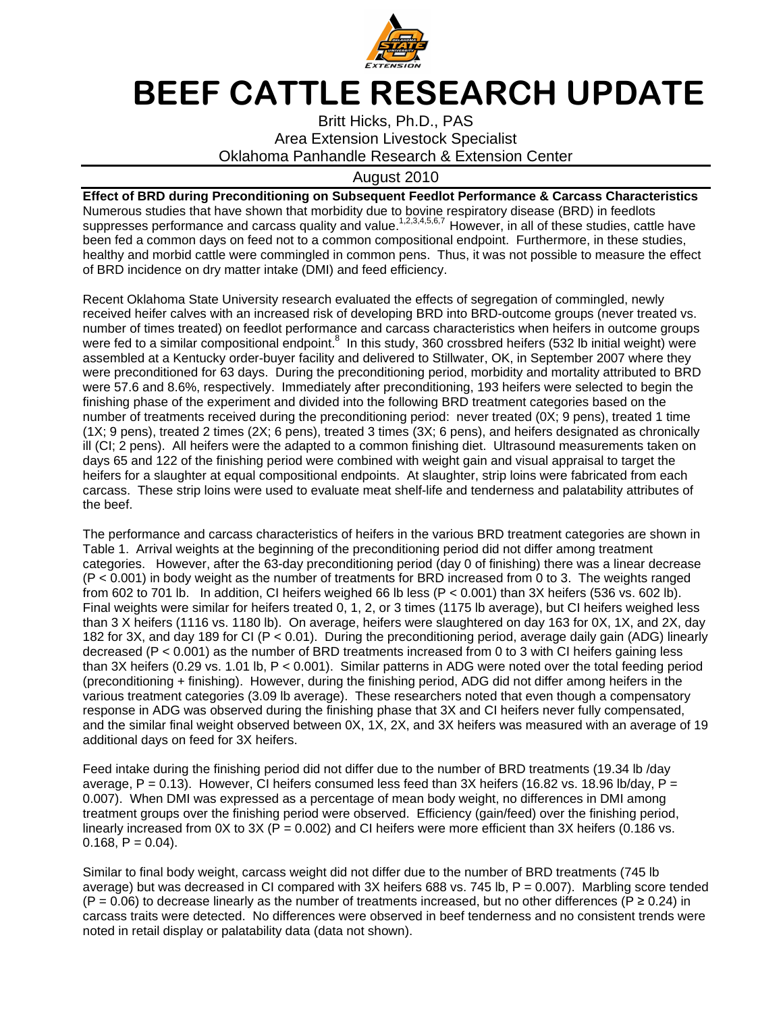

## BEEF CATTLE RESEARCH UPDATE

Britt Hicks, Ph.D., PAS Area Extension Livestock Specialist Oklahoma Panhandle Research & Extension Center

## August 2010

**Effect of BRD during Preconditioning on Subsequent Feedlot Performance & Carcass Characteristics**  Numerous studies that have shown that morbidity due to bovine respiratory disease (BRD) in feedlots suppresses performance and carcass quality and value.<sup>1,2,3,4,5,6,7</sup> However, in all of these studies, cattle have been fed a common days on feed not to a common compositional endpoint. Furthermore, in these studies, healthy and morbid cattle were commingled in common pens. Thus, it was not possible to measure the effect of BRD incidence on dry matter intake (DMI) and feed efficiency.

Recent Oklahoma State University research evaluated the effects of segregation of commingled, newly received heifer calves with an increased risk of developing BRD into BRD-outcome groups (never treated vs. number of times treated) on feedlot performance and carcass characteristics when heifers in outcome groups were fed to a similar compositional endpoint.<sup>8</sup> In this study, 360 crossbred heifers (532 lb initial weight) were assembled at a Kentucky order-buyer facility and delivered to Stillwater, OK, in September 2007 where they were preconditioned for 63 days. During the preconditioning period, morbidity and mortality attributed to BRD were 57.6 and 8.6%, respectively. Immediately after preconditioning, 193 heifers were selected to begin the finishing phase of the experiment and divided into the following BRD treatment categories based on the number of treatments received during the preconditioning period: never treated (0X; 9 pens), treated 1 time (1X; 9 pens), treated 2 times (2X; 6 pens), treated 3 times (3X; 6 pens), and heifers designated as chronically ill (CI; 2 pens). All heifers were the adapted to a common finishing diet. Ultrasound measurements taken on days 65 and 122 of the finishing period were combined with weight gain and visual appraisal to target the heifers for a slaughter at equal compositional endpoints. At slaughter, strip loins were fabricated from each carcass. These strip loins were used to evaluate meat shelf-life and tenderness and palatability attributes of the beef.

The performance and carcass characteristics of heifers in the various BRD treatment categories are shown in Table 1. Arrival weights at the beginning of the preconditioning period did not differ among treatment categories. However, after the 63-day preconditioning period (day 0 of finishing) there was a linear decrease (P < 0.001) in body weight as the number of treatments for BRD increased from 0 to 3. The weights ranged from 602 to 701 lb. In addition, CI heifers weighed 66 lb less (P < 0.001) than 3X heifers (536 vs. 602 lb). Final weights were similar for heifers treated 0, 1, 2, or 3 times (1175 lb average), but CI heifers weighed less than 3 X heifers (1116 vs. 1180 lb). On average, heifers were slaughtered on day 163 for 0X, 1X, and 2X, day 182 for 3X, and day 189 for CI (P < 0.01). During the preconditioning period, average daily gain (ADG) linearly decreased (P < 0.001) as the number of BRD treatments increased from 0 to 3 with CI heifers gaining less than 3X heifers (0.29 vs. 1.01 lb, P < 0.001). Similar patterns in ADG were noted over the total feeding period (preconditioning + finishing). However, during the finishing period, ADG did not differ among heifers in the various treatment categories (3.09 lb average). These researchers noted that even though a compensatory response in ADG was observed during the finishing phase that 3X and CI heifers never fully compensated, and the similar final weight observed between 0X, 1X, 2X, and 3X heifers was measured with an average of 19 additional days on feed for 3X heifers.

Feed intake during the finishing period did not differ due to the number of BRD treatments (19.34 lb /day average, P = 0.13). However, CI heifers consumed less feed than 3X heifers (16.82 vs. 18.96 lb/day, P = 0.007). When DMI was expressed as a percentage of mean body weight, no differences in DMI among treatment groups over the finishing period were observed. Efficiency (gain/feed) over the finishing period, linearly increased from  $0X$  to  $3X$  (P = 0.002) and CI heifers were more efficient than  $3X$  heifers (0.186 vs.  $0.168, P = 0.04$ .

Similar to final body weight, carcass weight did not differ due to the number of BRD treatments (745 lb average) but was decreased in CI compared with 3X heifers 688 vs. 745 lb, P = 0.007). Marbling score tended  $(P = 0.06)$  to decrease linearly as the number of treatments increased, but no other differences (P  $\geq$  0.24) in carcass traits were detected. No differences were observed in beef tenderness and no consistent trends were noted in retail display or palatability data (data not shown).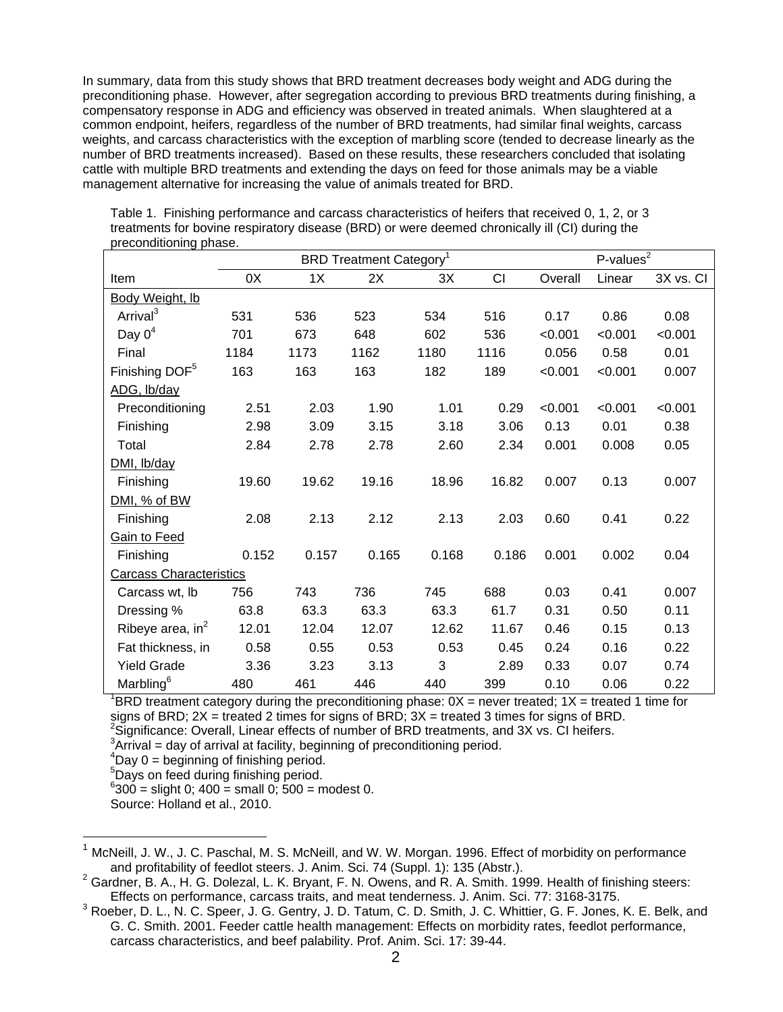In summary, data from this study shows that BRD treatment decreases body weight and ADG during the preconditioning phase. However, after segregation according to previous BRD treatments during finishing, a compensatory response in ADG and efficiency was observed in treated animals. When slaughtered at a common endpoint, heifers, regardless of the number of BRD treatments, had similar final weights, carcass weights, and carcass characteristics with the exception of marbling score (tended to decrease linearly as the number of BRD treatments increased). Based on these results, these researchers concluded that isolating cattle with multiple BRD treatments and extending the days on feed for those animals may be a viable management alternative for increasing the value of animals treated for BRD.

| ρισσοπαιτισπικά ρικασσ.        | <b>BRD Treatment Category<sup>1</sup></b> |       |       |       |       | P-values $\overline{2}$ |         |           |
|--------------------------------|-------------------------------------------|-------|-------|-------|-------|-------------------------|---------|-----------|
| Item                           | 0X                                        | 1X    | 2X    | 3X    | CI    | Overall                 | Linear  | 3X vs. Cl |
| Body Weight, lb                |                                           |       |       |       |       |                         |         |           |
| Arrival <sup>3</sup>           | 531                                       | 536   | 523   | 534   | 516   | 0.17                    | 0.86    | 0.08      |
| Day $0^4$                      | 701                                       | 673   | 648   | 602   | 536   | < 0.001                 | < 0.001 | < 0.001   |
| Final                          | 1184                                      | 1173  | 1162  | 1180  | 1116  | 0.056                   | 0.58    | 0.01      |
| Finishing DOF <sup>5</sup>     | 163                                       | 163   | 163   | 182   | 189   | < 0.001                 | < 0.001 | 0.007     |
| ADG, lb/day                    |                                           |       |       |       |       |                         |         |           |
| Preconditioning                | 2.51                                      | 2.03  | 1.90  | 1.01  | 0.29  | < 0.001                 | < 0.001 | < 0.001   |
| Finishing                      | 2.98                                      | 3.09  | 3.15  | 3.18  | 3.06  | 0.13                    | 0.01    | 0.38      |
| Total                          | 2.84                                      | 2.78  | 2.78  | 2.60  | 2.34  | 0.001                   | 0.008   | 0.05      |
| DMI, lb/day                    |                                           |       |       |       |       |                         |         |           |
| Finishing                      | 19.60                                     | 19.62 | 19.16 | 18.96 | 16.82 | 0.007                   | 0.13    | 0.007     |
| DMI, % of BW                   |                                           |       |       |       |       |                         |         |           |
| Finishing                      | 2.08                                      | 2.13  | 2.12  | 2.13  | 2.03  | 0.60                    | 0.41    | 0.22      |
| <b>Gain to Feed</b>            |                                           |       |       |       |       |                         |         |           |
| Finishing                      | 0.152                                     | 0.157 | 0.165 | 0.168 | 0.186 | 0.001                   | 0.002   | 0.04      |
| <b>Carcass Characteristics</b> |                                           |       |       |       |       |                         |         |           |
| Carcass wt, lb                 | 756                                       | 743   | 736   | 745   | 688   | 0.03                    | 0.41    | 0.007     |
| Dressing %                     | 63.8                                      | 63.3  | 63.3  | 63.3  | 61.7  | 0.31                    | 0.50    | 0.11      |
| Ribeye area, in $^2$           | 12.01                                     | 12.04 | 12.07 | 12.62 | 11.67 | 0.46                    | 0.15    | 0.13      |
| Fat thickness, in              | 0.58                                      | 0.55  | 0.53  | 0.53  | 0.45  | 0.24                    | 0.16    | 0.22      |
| <b>Yield Grade</b>             | 3.36                                      | 3.23  | 3.13  | 3     | 2.89  | 0.33                    | 0.07    | 0.74      |
| Marbling <sup>6</sup>          | 480                                       | 461   | 446   | 440   | 399   | 0.10                    | 0.06    | 0.22      |

Table 1. Finishing performance and carcass characteristics of heifers that received 0, 1, 2, or 3 treatments for bovine respiratory disease (BRD) or were deemed chronically ill (CI) during the preconditioning phase.

 ${}^{1}$ BRD treatment category during the preconditioning phase:  $0X$  = never treated;  $1X$  = treated 1 time for signs of BRD;  $2X =$  treated 2 times for signs of BRD;  $3X =$  treated 3 times for signs of BRD.  $2$ Significance: Overall, Linear effects of number of BRD treatments, and 3X vs. CI heifers.

 $3$ Arrival = day of arrival at facility, beginning of preconditioning period.

 $4$ Day 0 = beginning of finishing period.

<sup>5</sup>Days on feed during finishing period.

 $6300 =$  slight 0; 400 = small 0; 500 = modest 0.

Source: Holland et al., 2010.

l

McNeill, J. W., J. C. Paschal, M. S. McNeill, and W. W. Morgan. 1996. Effect of morbidity on performance and profitability of feedlot steers. J. Anim. Sci. 74 (Suppl. 1): 135 (Abstr.).

 $2$  Gardner, B. A., H. G. Dolezal, L. K. Bryant, F. N. Owens, and R. A. Smith. 1999. Health of finishing steers: Effects on performance, carcass traits, and meat tenderness. J. Anim. Sci. 77: 3168-3175.

 $3$  Roeber, D. L., N. C. Speer, J. G. Gentry, J. D. Tatum, C. D. Smith, J. C. Whittier, G. F. Jones, K. E. Belk, and G. C. Smith. 2001. Feeder cattle health management: Effects on morbidity rates, feedlot performance, carcass characteristics, and beef palability. Prof. Anim. Sci. 17: 39-44.